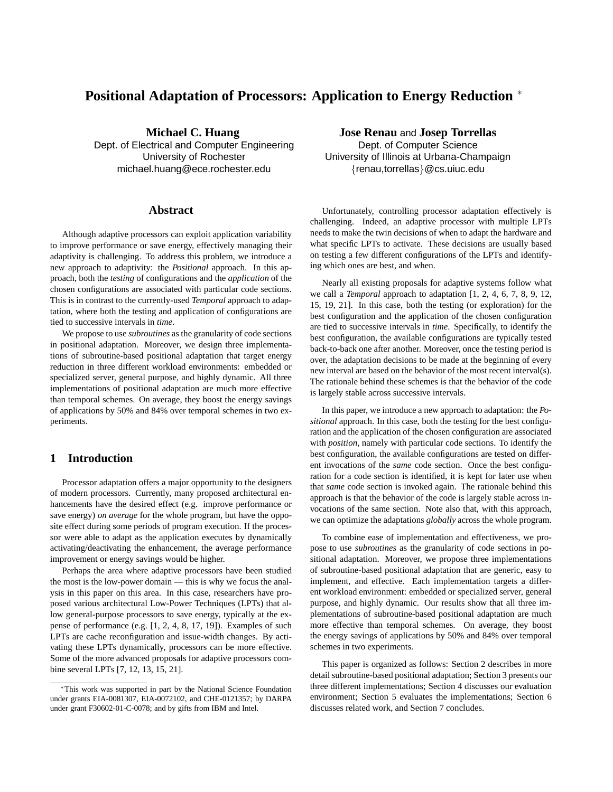# **Positional Adaptation of Processors: Application to Energy Reduction** <sup>∗</sup>

**Michael C. Huang** Dept. of Electrical and Computer Engineering University of Rochester michael.huang@ece.rochester.edu

# **Abstract**

Although adaptive processors can exploit application variability to improve performance or save energy, effectively managing their adaptivity is challenging. To address this problem, we introduce a new approach to adaptivity: the *Positional* approach. In this approach, both the *testing* of configurations and the *application* of the chosen configurations are associated with particular code sections. This is in contrast to the currently-used *Temporal* approach to adaptation, where both the testing and application of configurations are tied to successive intervals in *time*.

We propose to use *subroutines* as the granularity of code sections in positional adaptation. Moreover, we design three implementations of subroutine-based positional adaptation that target energy reduction in three different workload environments: embedded or specialized server, general purpose, and highly dynamic. All three implementations of positional adaptation are much more effective than temporal schemes. On average, they boost the energy savings of applications by 50% and 84% over temporal schemes in two experiments.

# **1 Introduction**

Processor adaptation offers a major opportunity to the designers of modern processors. Currently, many proposed architectural enhancements have the desired effect (e.g. improve performance or save energy) *on average* for the whole program, but have the opposite effect during some periods of program execution. If the processor were able to adapt as the application executes by dynamically activating/deactivating the enhancement, the average performance improvement or energy savings would be higher.

Perhaps the area where adaptive processors have been studied the most is the low-power domain — this is why we focus the analysis in this paper on this area. In this case, researchers have proposed various architectural Low-Power Techniques (LPTs) that allow general-purpose processors to save energy, typically at the expense of performance (e.g. [1, 2, 4, 8, 17, 19]). Examples of such LPTs are cache reconfiguration and issue-width changes. By activating these LPTs dynamically, processors can be more effective. Some of the more advanced proposals for adaptive processors combine several LPTs [7, 12, 13, 15, 21].

**Jose Renau** and **Josep Torrellas** Dept. of Computer Science University of Illinois at Urbana-Champaign {renau,torrellas}@cs.uiuc.edu

Unfortunately, controlling processor adaptation effectively is challenging. Indeed, an adaptive processor with multiple LPTs needs to make the twin decisions of when to adapt the hardware and what specific LPTs to activate. These decisions are usually based on testing a few different configurations of the LPTs and identifying which ones are best, and when.

Nearly all existing proposals for adaptive systems follow what we call a *Temporal* approach to adaptation [1, 2, 4, 6, 7, 8, 9, 12, 15, 19, 21]. In this case, both the testing (or exploration) for the best configuration and the application of the chosen configuration are tied to successive intervals in *time*. Specifically, to identify the best configuration, the available configurations are typically tested back-to-back one after another. Moreover, once the testing period is over, the adaptation decisions to be made at the beginning of every new interval are based on the behavior of the most recent interval(s). The rationale behind these schemes is that the behavior of the code is largely stable across successive intervals.

In this paper, we introduce a new approach to adaptation: the *Positional* approach. In this case, both the testing for the best configuration and the application of the chosen configuration are associated with *position*, namely with particular code sections. To identify the best configuration, the available configurations are tested on different invocations of the *same* code section. Once the best configuration for a code section is identified, it is kept for later use when that *same* code section is invoked again. The rationale behind this approach is that the behavior of the code is largely stable across invocations of the same section. Note also that, with this approach, we can optimize the adaptations *globally* across the whole program.

To combine ease of implementation and effectiveness, we propose to use *subroutines* as the granularity of code sections in positional adaptation. Moreover, we propose three implementations of subroutine-based positional adaptation that are generic, easy to implement, and effective. Each implementation targets a different workload environment: embedded or specialized server, general purpose, and highly dynamic. Our results show that all three implementations of subroutine-based positional adaptation are much more effective than temporal schemes. On average, they boost the energy savings of applications by 50% and 84% over temporal schemes in two experiments.

This paper is organized as follows: Section 2 describes in more detail subroutine-based positional adaptation; Section 3 presents our three different implementations; Section 4 discusses our evaluation environment; Section 5 evaluates the implementations; Section 6 discusses related work, and Section 7 concludes.

<sup>∗</sup>This work was supported in part by the National Science Foundation under grants EIA-0081307, EIA-0072102, and CHE-0121357; by DARPA under grant F30602-01-C-0078; and by gifts from IBM and Intel.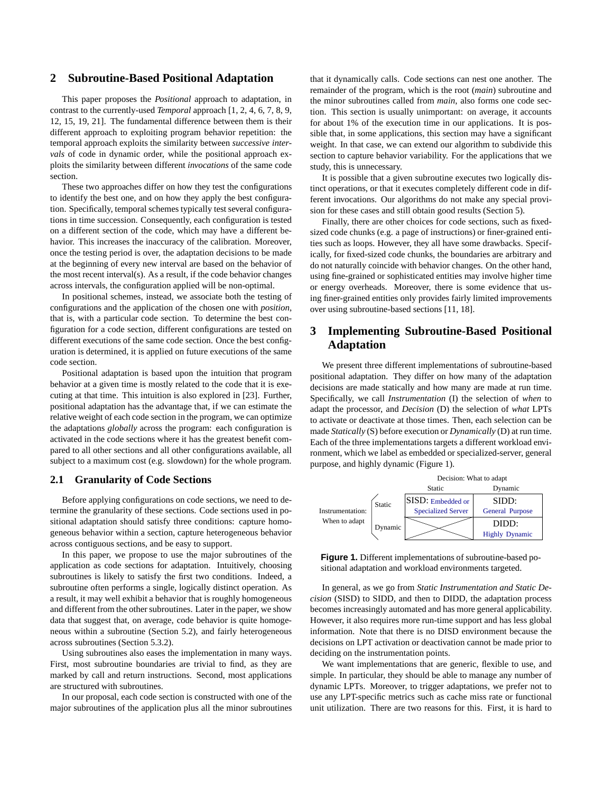# **2 Subroutine-Based Positional Adaptation**

This paper proposes the *Positional* approach to adaptation, in contrast to the currently-used *Temporal* approach [1, 2, 4, 6, 7, 8, 9, 12, 15, 19, 21]. The fundamental difference between them is their different approach to exploiting program behavior repetition: the temporal approach exploits the similarity between *successive intervals* of code in dynamic order, while the positional approach exploits the similarity between different *invocations* of the same code section.

These two approaches differ on how they test the configurations to identify the best one, and on how they apply the best configuration. Specifically, temporal schemes typically test several configurations in time succession. Consequently, each configuration is tested on a different section of the code, which may have a different behavior. This increases the inaccuracy of the calibration. Moreover, once the testing period is over, the adaptation decisions to be made at the beginning of every new interval are based on the behavior of the most recent interval(s). As a result, if the code behavior changes across intervals, the configuration applied will be non-optimal.

In positional schemes, instead, we associate both the testing of configurations and the application of the chosen one with *position*, that is, with a particular code section. To determine the best configuration for a code section, different configurations are tested on different executions of the same code section. Once the best configuration is determined, it is applied on future executions of the same code section.

Positional adaptation is based upon the intuition that program behavior at a given time is mostly related to the code that it is executing at that time. This intuition is also explored in [23]. Further, positional adaptation has the advantage that, if we can estimate the relative weight of each code section in the program, we can optimize the adaptations *globally* across the program: each configuration is activated in the code sections where it has the greatest benefit compared to all other sections and all other configurations available, all subject to a maximum cost (e.g. slowdown) for the whole program.

# **2.1 Granularity of Code Sections**

Before applying configurations on code sections, we need to determine the granularity of these sections. Code sections used in positional adaptation should satisfy three conditions: capture homogeneous behavior within a section, capture heterogeneous behavior across contiguous sections, and be easy to support.

In this paper, we propose to use the major subroutines of the application as code sections for adaptation. Intuitively, choosing subroutines is likely to satisfy the first two conditions. Indeed, a subroutine often performs a single, logically distinct operation. As a result, it may well exhibit a behavior that is roughly homogeneous and different from the other subroutines. Later in the paper, we show data that suggest that, on average, code behavior is quite homogeneous within a subroutine (Section 5.2), and fairly heterogeneous across subroutines (Section 5.3.2).

Using subroutines also eases the implementation in many ways. First, most subroutine boundaries are trivial to find, as they are marked by call and return instructions. Second, most applications are structured with subroutines.

In our proposal, each code section is constructed with one of the major subroutines of the application plus all the minor subroutines that it dynamically calls. Code sections can nest one another. The remainder of the program, which is the root (*main*) subroutine and the minor subroutines called from *main*, also forms one code section. This section is usually unimportant: on average, it accounts for about 1% of the execution time in our applications. It is possible that, in some applications, this section may have a significant weight. In that case, we can extend our algorithm to subdivide this section to capture behavior variability. For the applications that we study, this is unnecessary.

It is possible that a given subroutine executes two logically distinct operations, or that it executes completely different code in different invocations. Our algorithms do not make any special provision for these cases and still obtain good results (Section 5).

Finally, there are other choices for code sections, such as fixedsized code chunks (e.g. a page of instructions) or finer-grained entities such as loops. However, they all have some drawbacks. Specifically, for fixed-sized code chunks, the boundaries are arbitrary and do not naturally coincide with behavior changes. On the other hand, using fine-grained or sophisticated entities may involve higher time or energy overheads. Moreover, there is some evidence that using finer-grained entities only provides fairly limited improvements over using subroutine-based sections [11, 18].

# **3 Implementing Subroutine-Based Positional Adaptation**

We present three different implementations of subroutine-based positional adaptation. They differ on how many of the adaptation decisions are made statically and how many are made at run time. Specifically, we call *Instrumentation* (I) the selection of *when* to adapt the processor, and *Decision* (D) the selection of *what* LPTs to activate or deactivate at those times. Then, each selection can be made *Statically* (S) before execution or *Dynamically* (D) at run time. Each of the three implementations targets a different workload environment, which we label as embedded or specialized-server, general purpose, and highly dynamic (Figure 1).



**Figure 1.** Different implementations of subroutine-based positional adaptation and workload environments targeted.

In general, as we go from *Static Instrumentation and Static Decision* (SISD) to SIDD, and then to DIDD, the adaptation process becomes increasingly automated and has more general applicability. However, it also requires more run-time support and has less global information. Note that there is no DISD environment because the decisions on LPT activation or deactivation cannot be made prior to deciding on the instrumentation points.

We want implementations that are generic, flexible to use, and simple. In particular, they should be able to manage any number of dynamic LPTs. Moreover, to trigger adaptations, we prefer not to use any LPT-specific metrics such as cache miss rate or functional unit utilization. There are two reasons for this. First, it is hard to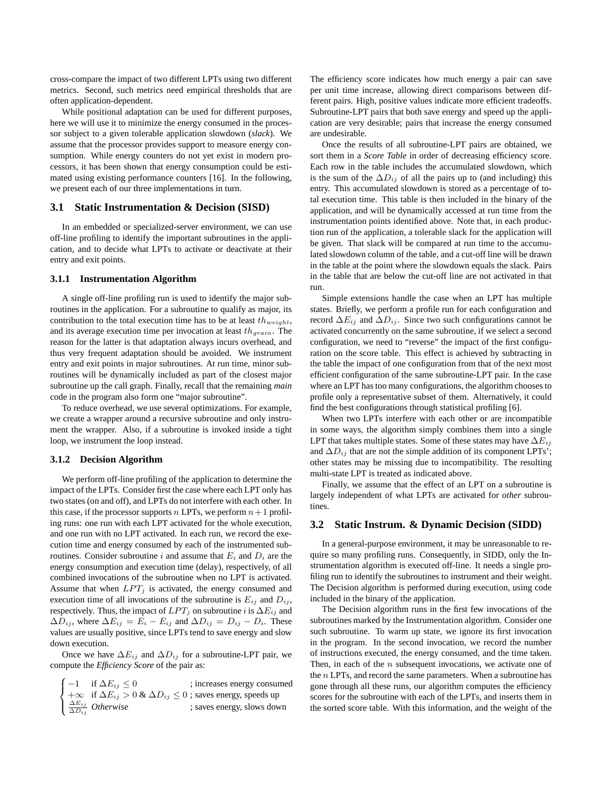cross-compare the impact of two different LPTs using two different metrics. Second, such metrics need empirical thresholds that are often application-dependent.

While positional adaptation can be used for different purposes, here we will use it to minimize the energy consumed in the processor subject to a given tolerable application slowdown (*slack*). We assume that the processor provides support to measure energy consumption. While energy counters do not yet exist in modern processors, it has been shown that energy consumption could be estimated using existing performance counters [16]. In the following, we present each of our three implementations in turn.

#### **3.1 Static Instrumentation & Decision (SISD)**

In an embedded or specialized-server environment, we can use off-line profiling to identify the important subroutines in the application, and to decide what LPTs to activate or deactivate at their entry and exit points.

### **3.1.1 Instrumentation Algorithm**

A single off-line profiling run is used to identify the major subroutines in the application. For a subroutine to qualify as major, its contribution to the total execution time has to be at least  $th_{weight}$ , and its average execution time per invocation at least  $th_{grain}$ . The reason for the latter is that adaptation always incurs overhead, and thus very frequent adaptation should be avoided. We instrument entry and exit points in major subroutines. At run time, minor subroutines will be dynamically included as part of the closest major subroutine up the call graph. Finally, recall that the remaining *main* code in the program also form one "major subroutine".

To reduce overhead, we use several optimizations. For example, we create a wrapper around a recursive subroutine and only instrument the wrapper. Also, if a subroutine is invoked inside a tight loop, we instrument the loop instead.

#### **3.1.2 Decision Algorithm**

We perform off-line profiling of the application to determine the impact of the LPTs. Consider first the case where each LPT only has two states (on and off), and LPTs do not interfere with each other. In this case, if the processor supports n LPTs, we perform  $n+1$  profiling runs: one run with each LPT activated for the whole execution, and one run with no LPT activated. In each run, we record the execution time and energy consumed by each of the instrumented subroutines. Consider subroutine i and assume that  $E_i$  and  $D_i$  are the energy consumption and execution time (delay), respectively, of all combined invocations of the subroutine when no LPT is activated. Assume that when  $LPT_j$  is activated, the energy consumed and execution time of all invocations of the subroutine is  $E_{ij}$  and  $D_{ij}$ , respectively. Thus, the impact of  $LPT_j$  on subroutine i is  $\Delta E_{ij}$  and  $\Delta D_{ij}$ , where  $\Delta E_{ij} = E_i - E_{ij}$  and  $\Delta D_{ij} = D_{ij} - D_i$ . These values are usually positive, since LPTs tend to save energy and slow down execution.

Once we have  $\Delta E_{ij}$  and  $\Delta D_{ij}$  for a subroutine-LPT pair, we compute the *Efficiency Score* of the pair as:

$$
\begin{cases}\n-1 & \text{if } \Delta E_{ij} \leq 0 \\
+\infty & \text{if } \Delta E_{ij} > 0 \text{ & } \Delta D_{ij} \leq 0 \\
\frac{\Delta E_{ij}}{\Delta D_{ij}} & \text{otherwise}\n\end{cases}
$$
\n; saves energy, speeds up

\n; saves energy, slows down

The efficiency score indicates how much energy a pair can save per unit time increase, allowing direct comparisons between different pairs. High, positive values indicate more efficient tradeoffs. Subroutine-LPT pairs that both save energy and speed up the application are very desirable; pairs that increase the energy consumed are undesirable.

Once the results of all subroutine-LPT pairs are obtained, we sort them in a *Score Table* in order of decreasing efficiency score. Each row in the table includes the accumulated slowdown, which is the sum of the  $\Delta D_{ij}$  of all the pairs up to (and including) this entry. This accumulated slowdown is stored as a percentage of total execution time. This table is then included in the binary of the application, and will be dynamically accessed at run time from the instrumentation points identified above. Note that, in each production run of the application, a tolerable slack for the application will be given. That slack will be compared at run time to the accumulated slowdown column of the table, and a cut-off line will be drawn in the table at the point where the slowdown equals the slack. Pairs in the table that are below the cut-off line are not activated in that run.

Simple extensions handle the case when an LPT has multiple states. Briefly, we perform a profile run for each configuration and record  $\Delta E_{ij}$  and  $\Delta D_{ij}$ . Since two such configurations cannot be activated concurrently on the same subroutine, if we select a second configuration, we need to "reverse" the impact of the first configuration on the score table. This effect is achieved by subtracting in the table the impact of one configuration from that of the next most efficient configuration of the same subroutine-LPT pair. In the case where an LPT has too many configurations, the algorithm chooses to profile only a representative subset of them. Alternatively, it could find the best configurations through statistical profiling [6].

When two LPTs interfere with each other or are incompatible in some ways, the algorithm simply combines them into a single LPT that takes multiple states. Some of these states may have  $\Delta E_{ij}$ and  $\Delta D_{ij}$  that are not the simple addition of its component LPTs'; other states may be missing due to incompatibility. The resulting multi-state LPT is treated as indicated above.

Finally, we assume that the effect of an LPT on a subroutine is largely independent of what LPTs are activated for *other* subroutines.

#### **3.2 Static Instrum. & Dynamic Decision (SIDD)**

In a general-purpose environment, it may be unreasonable to require so many profiling runs. Consequently, in SIDD, only the Instrumentation algorithm is executed off-line. It needs a single profiling run to identify the subroutines to instrument and their weight. The Decision algorithm is performed during execution, using code included in the binary of the application.

The Decision algorithm runs in the first few invocations of the subroutines marked by the Instrumentation algorithm. Consider one such subroutine. To warm up state, we ignore its first invocation in the program. In the second invocation, we record the number of instructions executed, the energy consumed, and the time taken. Then, in each of the  $n$  subsequent invocations, we activate one of the  $n$  LPTs, and record the same parameters. When a subroutine has gone through all these runs, our algorithm computes the efficiency scores for the subroutine with each of the LPTs, and inserts them in the sorted score table. With this information, and the weight of the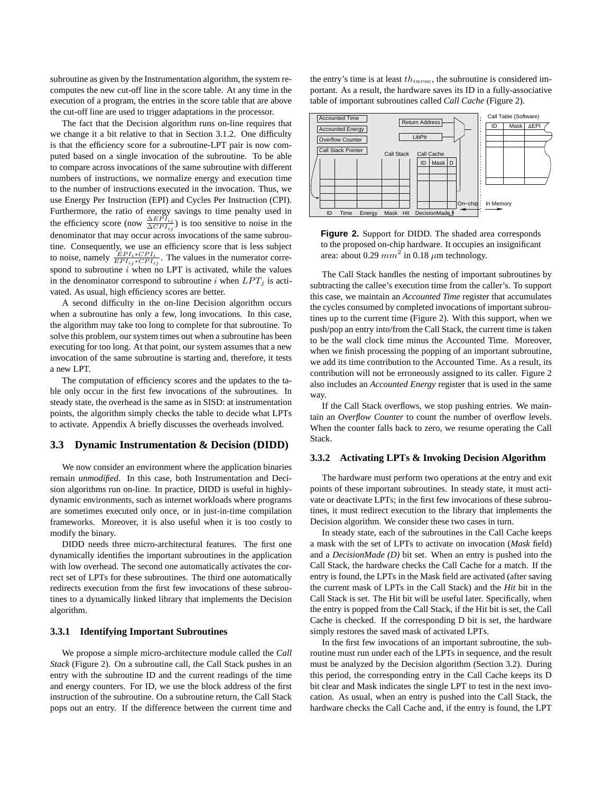subroutine as given by the Instrumentation algorithm, the system recomputes the new cut-off line in the score table. At any time in the execution of a program, the entries in the score table that are above the cut-off line are used to trigger adaptations in the processor.

The fact that the Decision algorithm runs on-line requires that we change it a bit relative to that in Section 3.1.2. One difficulty is that the efficiency score for a subroutine-LPT pair is now computed based on a single invocation of the subroutine. To be able to compare across invocations of the same subroutine with different numbers of instructions, we normalize energy and execution time to the number of instructions executed in the invocation. Thus, we use Energy Per Instruction (EPI) and Cycles Per Instruction (CPI). Furthermore, the ratio of energy savings to time penalty used in the efficiency score (now  $\frac{\Delta E\widetilde{PI}_{ij}}{\Delta CPL}$  $\frac{\Delta E P I_{ij}}{\Delta C P I_{ij}}$ ) is too sensitive to noise in the denominator that may occur across invocations of the same subroutine. Consequently, we use an efficiency score that is less subject to noise, namely  $\frac{EPI_{ij}*CPI_{ij}}{EPI_{ij}*CPI_{ij}}$ . The values in the numerator correspond to subroutine  $i$  when no LPT is activated, while the values in the denominator correspond to subroutine i when  $LPT_j$  is activated. As usual, high efficiency scores are better.

A second difficulty in the on-line Decision algorithm occurs when a subroutine has only a few, long invocations. In this case, the algorithm may take too long to complete for that subroutine. To solve this problem, our system times out when a subroutine has been executing for too long. At that point, our system assumes that a new invocation of the same subroutine is starting and, therefore, it tests a new LPT.

The computation of efficiency scores and the updates to the table only occur in the first few invocations of the subroutines. In steady state, the overhead is the same as in SISD: at instrumentation points, the algorithm simply checks the table to decide what LPTs to activate. Appendix A briefly discusses the overheads involved.

#### **3.3 Dynamic Instrumentation & Decision (DIDD)**

We now consider an environment where the application binaries remain *unmodified*. In this case, both Instrumentation and Decision algorithms run on-line. In practice, DIDD is useful in highlydynamic environments, such as internet workloads where programs are sometimes executed only once, or in just-in-time compilation frameworks. Moreover, it is also useful when it is too costly to modify the binary.

DIDD needs three micro-architectural features. The first one dynamically identifies the important subroutines in the application with low overhead. The second one automatically activates the correct set of LPTs for these subroutines. The third one automatically redirects execution from the first few invocations of these subroutines to a dynamically linked library that implements the Decision algorithm.

### **3.3.1 Identifying Important Subroutines**

We propose a simple micro-architecture module called the *Call Stack* (Figure 2). On a subroutine call, the Call Stack pushes in an entry with the subroutine ID and the current readings of the time and energy counters. For ID, we use the block address of the first instruction of the subroutine. On a subroutine return, the Call Stack pops out an entry. If the difference between the current time and

the entry's time is at least  $th_{invoc}$ , the subroutine is considered important. As a result, the hardware saves its ID in a fully-associative table of important subroutines called *Call Cache* (Figure 2).



**Figure 2.** Support for DIDD. The shaded area corresponds to the proposed on-chip hardware. It occupies an insignificant area: about 0.29  $mm^2$  in 0.18  $\mu$ m technology.

The Call Stack handles the nesting of important subroutines by subtracting the callee's execution time from the caller's. To support this case, we maintain an *Accounted Time* register that accumulates the cycles consumed by completed invocations of important subroutines up to the current time (Figure 2). With this support, when we push/pop an entry into/from the Call Stack, the current time is taken to be the wall clock time minus the Accounted Time. Moreover, when we finish processing the popping of an important subroutine, we add its time contribution to the Accounted Time. As a result, its contribution will not be erroneously assigned to its caller. Figure 2 also includes an *Accounted Energy* register that is used in the same way.

If the Call Stack overflows, we stop pushing entries. We maintain an *Overflow Counter* to count the number of overflow levels. When the counter falls back to zero, we resume operating the Call Stack.

#### **3.3.2 Activating LPTs & Invoking Decision Algorithm**

The hardware must perform two operations at the entry and exit points of these important subroutines. In steady state, it must activate or deactivate LPTs; in the first few invocations of these subroutines, it must redirect execution to the library that implements the Decision algorithm. We consider these two cases in turn.

In steady state, each of the subroutines in the Call Cache keeps a mask with the set of LPTs to activate on invocation (*Mask* field) and a *DecisionMade (D)* bit set. When an entry is pushed into the Call Stack, the hardware checks the Call Cache for a match. If the entry is found, the LPTs in the Mask field are activated (after saving the current mask of LPTs in the Call Stack) and the *Hit* bit in the Call Stack is set. The Hit bit will be useful later. Specifically, when the entry is popped from the Call Stack, if the Hit bit is set, the Call Cache is checked. If the corresponding D bit is set, the hardware simply restores the saved mask of activated LPTs.

In the first few invocations of an important subroutine, the subroutine must run under each of the LPTs in sequence, and the result must be analyzed by the Decision algorithm (Section 3.2). During this period, the corresponding entry in the Call Cache keeps its D bit clear and Mask indicates the single LPT to test in the next invocation. As usual, when an entry is pushed into the Call Stack, the hardware checks the Call Cache and, if the entry is found, the LPT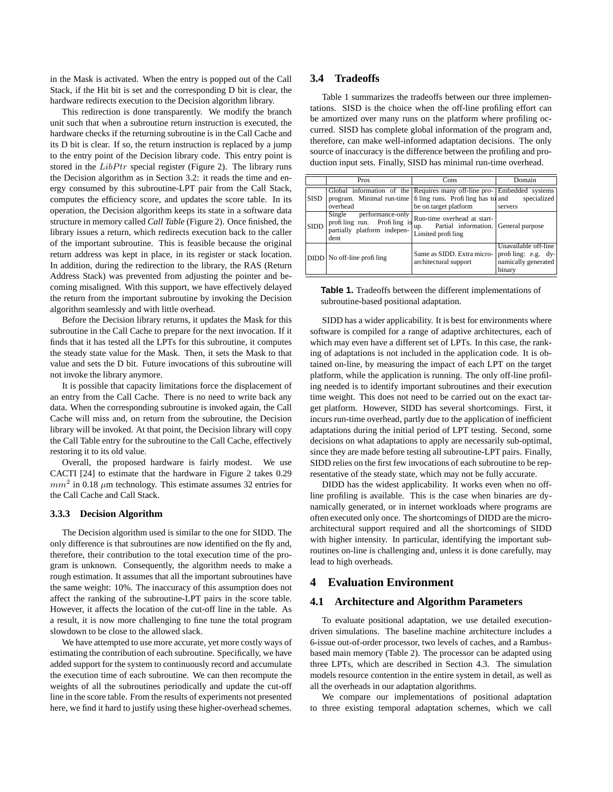in the Mask is activated. When the entry is popped out of the Call Stack, if the Hit bit is set and the corresponding D bit is clear, the hardware redirects execution to the Decision algorithm library.

This redirection is done transparently. We modify the branch unit such that when a subroutine return instruction is executed, the hardware checks if the returning subroutine is in the Call Cache and its D bit is clear. If so, the return instruction is replaced by a jump to the entry point of the Decision library code. This entry point is stored in the  $LibPtr$  special register (Figure 2). The library runs the Decision algorithm as in Section 3.2: it reads the time and energy consumed by this subroutine-LPT pair from the Call Stack, computes the efficiency score, and updates the score table. In its operation, the Decision algorithm keeps its state in a software data structure in memory called *Call Table* (Figure 2). Once finished, the library issues a return, which redirects execution back to the caller of the important subroutine. This is feasible because the original return address was kept in place, in its register or stack location. In addition, during the redirection to the library, the RAS (Return Address Stack) was prevented from adjusting the pointer and becoming misaligned. With this support, we have effectively delayed the return from the important subroutine by invoking the Decision algorithm seamlessly and with little overhead.

Before the Decision library returns, it updates the Mask for this subroutine in the Call Cache to prepare for the next invocation. If it finds that it has tested all the LPTs for this subroutine, it computes the steady state value for the Mask. Then, it sets the Mask to that value and sets the D bit. Future invocations of this subroutine will not invoke the library anymore.

It is possible that capacity limitations force the displacement of an entry from the Call Cache. There is no need to write back any data. When the corresponding subroutine is invoked again, the Call Cache will miss and, on return from the subroutine, the Decision library will be invoked. At that point, the Decision library will copy the Call Table entry for the subroutine to the Call Cache, effectively restoring it to its old value.

Overall, the proposed hardware is fairly modest. We use CACTI [24] to estimate that the hardware in Figure 2 takes 0.29  $mm^2$  in 0.18  $\mu$ m technology. This estimate assumes 32 entries for the Call Cache and Call Stack.

#### **3.3.3 Decision Algorithm**

The Decision algorithm used is similar to the one for SIDD. The only difference is that subroutines are now identified on the fly and, therefore, their contribution to the total execution time of the program is unknown. Consequently, the algorithm needs to make a rough estimation. It assumes that all the important subroutines have the same weight: 10%. The inaccuracy of this assumption does not affect the ranking of the subroutine-LPT pairs in the score table. However, it affects the location of the cut-off line in the table. As a result, it is now more challenging to fine tune the total program slowdown to be close to the allowed slack.

We have attempted to use more accurate, yet more costly ways of estimating the contribution of each subroutine. Specifically, we have added support for the system to continuously record and accumulate the execution time of each subroutine. We can then recompute the weights of all the subroutines periodically and update the cut-off line in the score table. From the results of experiments not presented here, we find it hard to justify using these higher-overhead schemes.

# **3.4 Tradeoffs**

Table 1 summarizes the tradeoffs between our three implementations. SISD is the choice when the off-line profiling effort can be amortized over many runs on the platform where profiling occurred. SISD has complete global information of the program and, therefore, can make well-informed adaptation decisions. The only source of inaccuracy is the difference between the profiling and production input sets. Finally, SISD has minimal run-time overhead.

|             | Pros                                                                                             | Cons                                                                                                                                                           | Domain                                                                       |  |
|-------------|--------------------------------------------------------------------------------------------------|----------------------------------------------------------------------------------------------------------------------------------------------------------------|------------------------------------------------------------------------------|--|
| <b>SISD</b> | overhead                                                                                         | Global information of the Requires many off-line pro- Embedded systems<br>program. Minimal run-time filing runs. Profiling has to and<br>be on target platform | specialized<br>servers                                                       |  |
| <b>SIDD</b> | performance-only<br>Single<br>profiling run. Profiling is<br>partially platform indepen-<br>dent | Run-time overhead at start-<br>Partial information. General purpose<br>up.<br>Limited profiling                                                                |                                                                              |  |
|             | DIDD No off-line profiling                                                                       | Same as SIDD. Extra micro-<br>architectural support                                                                                                            | Unavailable off-line<br>profiling: e.g. dy-<br>namically generated<br>binary |  |

**Table 1.** Tradeoffs between the different implementations of subroutine-based positional adaptation.

SIDD has a wider applicability. It is best for environments where software is compiled for a range of adaptive architectures, each of which may even have a different set of LPTs. In this case, the ranking of adaptations is not included in the application code. It is obtained on-line, by measuring the impact of each LPT on the target platform, while the application is running. The only off-line profiling needed is to identify important subroutines and their execution time weight. This does not need to be carried out on the exact target platform. However, SIDD has several shortcomings. First, it incurs run-time overhead, partly due to the application of inefficient adaptations during the initial period of LPT testing. Second, some decisions on what adaptations to apply are necessarily sub-optimal, since they are made before testing all subroutine-LPT pairs. Finally, SIDD relies on the first few invocations of each subroutine to be representative of the steady state, which may not be fully accurate.

DIDD has the widest applicability. It works even when no offline profiling is available. This is the case when binaries are dynamically generated, or in internet workloads where programs are often executed only once. The shortcomings of DIDD are the microarchitectural support required and all the shortcomings of SIDD with higher intensity. In particular, identifying the important subroutines on-line is challenging and, unless it is done carefully, may lead to high overheads.

# **4 Evaluation Environment**

#### **4.1 Architecture and Algorithm Parameters**

To evaluate positional adaptation, we use detailed executiondriven simulations. The baseline machine architecture includes a 6-issue out-of-order processor, two levels of caches, and a Rambusbased main memory (Table 2). The processor can be adapted using three LPTs, which are described in Section 4.3. The simulation models resource contention in the entire system in detail, as well as all the overheads in our adaptation algorithms.

We compare our implementations of positional adaptation to three existing temporal adaptation schemes, which we call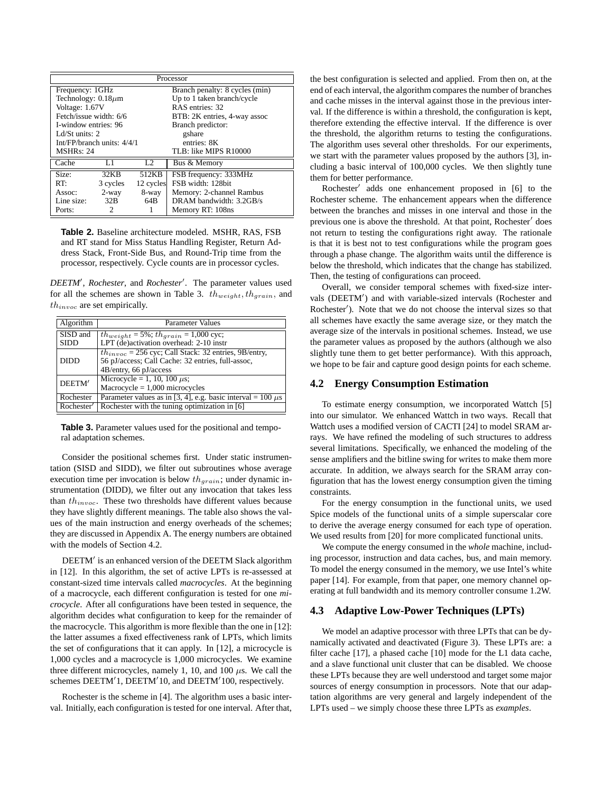| Processor                  |                 |           |                                |  |  |
|----------------------------|-----------------|-----------|--------------------------------|--|--|
| Frequency: 1GHz            |                 |           | Branch penalty: 8 cycles (min) |  |  |
| Technology: $0.18 \mu m$   |                 |           | Up to 1 taken branch/cycle     |  |  |
| Voltage: 1.67V             |                 |           | RAS entries: 32                |  |  |
| Fetch/issue width: 6/6     |                 |           | BTB: 2K entries, 4-way assoc   |  |  |
| I-window entries: 96       |                 |           | Branch predictor:              |  |  |
| Ld/St units: 2             |                 |           | gshare                         |  |  |
| Int/FP/branch units: 4/4/1 |                 |           | entries: 8K                    |  |  |
| <b>MSHRs: 24</b>           |                 |           | TLB: like MIPS R10000          |  |  |
| Cache                      | I .1            | 12        | Bus & Memory                   |  |  |
| Size:                      | 32KB            | 512KB     | FSB frequency: 333MHz          |  |  |
| RT:                        | 3 cycles        | 12 cycles | FSB width: 128bit              |  |  |
| Assoc:                     | $2$ -way        | 8-way     | Memory: 2-channel Rambus       |  |  |
| Line size:                 | 32 <sub>B</sub> | 64B       | DRAM bandwidth: 3.2GB/s        |  |  |
| Ports:                     | 2               |           | Memory RT: 108ns               |  |  |

**Table 2.** Baseline architecture modeled. MSHR, RAS, FSB and RT stand for Miss Status Handling Register, Return Address Stack, Front-Side Bus, and Round-Trip time from the processor, respectively. Cycle counts are in processor cycles.

DEETM', *Rochester*, and *Rochester'*. The parameter values used for all the schemes are shown in Table 3.  $th_{weight}, th_{grain}$ , and  $th_{inwoc}$  are set empirically.

| Algorithm               | <b>Parameter Values</b>                                                                                                                  |
|-------------------------|------------------------------------------------------------------------------------------------------------------------------------------|
| SISD and<br><b>SIDD</b> | $th_{weight} = 5\%; th_{grain} = 1,000$ cyc;<br>LPT (de)activation overhead: 2-10 instr                                                  |
| <b>DIDD</b>             | $th_{invoc}$ = 256 cyc; Call Stack: 32 entries, 9B/entry,<br>56 pJ/access; Call Cache: 32 entries, full-assoc,<br>4B/entry, 66 pJ/access |
| DEETM'                  | Microcycle = 1, 10, 100 $\mu$ s;<br>$Macrocycle = 1,000$ microcycles                                                                     |
| Rochester               | Parameter values as in [3, 4], e.g. basic interval = 100 $\mu$ s                                                                         |
| Rochester               | Rochester with the tuning optimization in [6]                                                                                            |

**Table 3.** Parameter values used for the positional and temporal adaptation schemes.

Consider the positional schemes first. Under static instrumentation (SISD and SIDD), we filter out subroutines whose average execution time per invocation is below  $th_{grain}$ ; under dynamic instrumentation (DIDD), we filter out any invocation that takes less than  $th_{invoc}$ . These two thresholds have different values because they have slightly different meanings. The table also shows the values of the main instruction and energy overheads of the schemes; they are discussed in Appendix A. The energy numbers are obtained with the models of Section 4.2.

DEETM' is an enhanced version of the DEETM Slack algorithm in [12]. In this algorithm, the set of active LPTs is re-assessed at constant-sized time intervals called *macrocycles*. At the beginning of a macrocycle, each different configuration is tested for one *microcycle*. After all configurations have been tested in sequence, the algorithm decides what configuration to keep for the remainder of the macrocycle. This algorithm is more flexible than the one in [12]: the latter assumes a fixed effectiveness rank of LPTs, which limits the set of configurations that it can apply. In [12], a microcycle is 1,000 cycles and a macrocycle is 1,000 microcycles. We examine three different microcycles, namely 1, 10, and 100  $\mu$ s. We call the schemes DEETM'1, DEETM'10, and DEETM'100, respectively.

Rochester is the scheme in [4]. The algorithm uses a basic interval. Initially, each configuration is tested for one interval. After that, the best configuration is selected and applied. From then on, at the end of each interval, the algorithm compares the number of branches and cache misses in the interval against those in the previous interval. If the difference is within a threshold, the configuration is kept, therefore extending the effective interval. If the difference is over the threshold, the algorithm returns to testing the configurations. The algorithm uses several other thresholds. For our experiments, we start with the parameter values proposed by the authors [3], including a basic interval of 100,000 cycles. We then slightly tune them for better performance.

Rochester' adds one enhancement proposed in [6] to the Rochester scheme. The enhancement appears when the difference between the branches and misses in one interval and those in the previous one is above the threshold. At that point, Rochester' does not return to testing the configurations right away. The rationale is that it is best not to test configurations while the program goes through a phase change. The algorithm waits until the difference is below the threshold, which indicates that the change has stabilized. Then, the testing of configurations can proceed.

Overall, we consider temporal schemes with fixed-size intervals (DEETM') and with variable-sized intervals (Rochester and Rochester'). Note that we do not choose the interval sizes so that all schemes have exactly the same average size, or they match the average size of the intervals in positional schemes. Instead, we use the parameter values as proposed by the authors (although we also slightly tune them to get better performance). With this approach, we hope to be fair and capture good design points for each scheme.

#### **4.2 Energy Consumption Estimation**

To estimate energy consumption, we incorporated Wattch [5] into our simulator. We enhanced Wattch in two ways. Recall that Wattch uses a modified version of CACTI [24] to model SRAM arrays. We have refined the modeling of such structures to address several limitations. Specifically, we enhanced the modeling of the sense amplifiers and the bitline swing for writes to make them more accurate. In addition, we always search for the SRAM array configuration that has the lowest energy consumption given the timing constraints.

For the energy consumption in the functional units, we used Spice models of the functional units of a simple superscalar core to derive the average energy consumed for each type of operation. We used results from [20] for more complicated functional units.

We compute the energy consumed in the *whole* machine, including processor, instruction and data caches, bus, and main memory. To model the energy consumed in the memory, we use Intel's white paper [14]. For example, from that paper, one memory channel operating at full bandwidth and its memory controller consume 1.2W.

### **4.3 Adaptive Low-Power Techniques (LPTs)**

We model an adaptive processor with three LPTs that can be dynamically activated and deactivated (Figure 3). These LPTs are: a filter cache [17], a phased cache [10] mode for the L1 data cache, and a slave functional unit cluster that can be disabled. We choose these LPTs because they are well understood and target some major sources of energy consumption in processors. Note that our adaptation algorithms are very general and largely independent of the LPTs used – we simply choose these three LPTs as *examples*.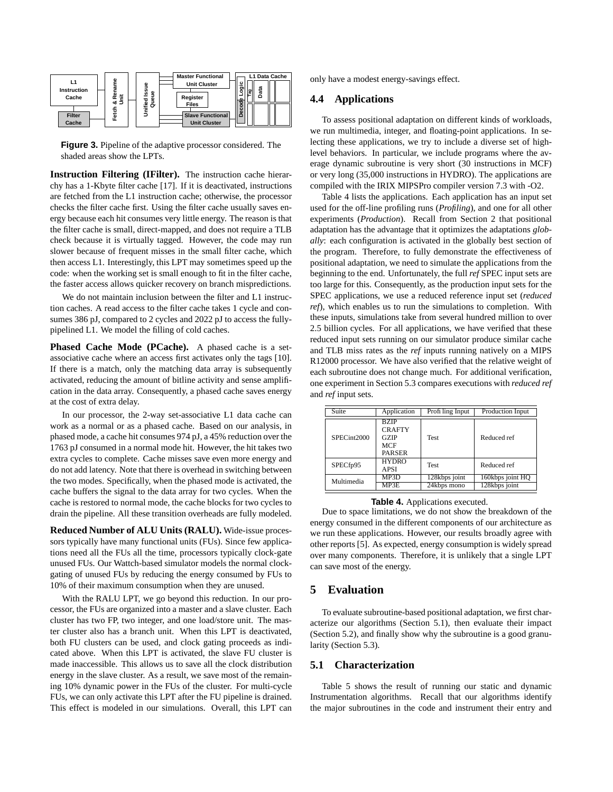

**Figure 3.** Pipeline of the adaptive processor considered. The shaded areas show the LPTs.

**Instruction Filtering (IFilter).** The instruction cache hierarchy has a 1-Kbyte filter cache [17]. If it is deactivated, instructions are fetched from the L1 instruction cache; otherwise, the processor checks the filter cache first. Using the filter cache usually saves energy because each hit consumes very little energy. The reason is that the filter cache is small, direct-mapped, and does not require a TLB check because it is virtually tagged. However, the code may run slower because of frequent misses in the small filter cache, which then access L1. Interestingly, this LPT may sometimes speed up the code: when the working set is small enough to fit in the filter cache, the faster access allows quicker recovery on branch mispredictions.

We do not maintain inclusion between the filter and L1 instruction caches. A read access to the filter cache takes 1 cycle and consumes 386 pJ, compared to 2 cycles and 2022 pJ to access the fullypipelined L1. We model the filling of cold caches.

**Phased Cache Mode (PCache).** A phased cache is a setassociative cache where an access first activates only the tags [10]. If there is a match, only the matching data array is subsequently activated, reducing the amount of bitline activity and sense amplification in the data array. Consequently, a phased cache saves energy at the cost of extra delay.

In our processor, the 2-way set-associative L1 data cache can work as a normal or as a phased cache. Based on our analysis, in phased mode, a cache hit consumes 974 pJ, a 45% reduction over the 1763 pJ consumed in a normal mode hit. However, the hit takes two extra cycles to complete. Cache misses save even more energy and do not add latency. Note that there is overhead in switching between the two modes. Specifically, when the phased mode is activated, the cache buffers the signal to the data array for two cycles. When the cache is restored to normal mode, the cache blocks for two cycles to drain the pipeline. All these transition overheads are fully modeled.

**Reduced Number of ALU Units (RALU).** Wide-issue processors typically have many functional units (FUs). Since few applications need all the FUs all the time, processors typically clock-gate unused FUs. Our Wattch-based simulator models the normal clockgating of unused FUs by reducing the energy consumed by FUs to 10% of their maximum consumption when they are unused.

With the RALU LPT, we go beyond this reduction. In our processor, the FUs are organized into a master and a slave cluster. Each cluster has two FP, two integer, and one load/store unit. The master cluster also has a branch unit. When this LPT is deactivated, both FU clusters can be used, and clock gating proceeds as indicated above. When this LPT is activated, the slave FU cluster is made inaccessible. This allows us to save all the clock distribution energy in the slave cluster. As a result, we save most of the remaining 10% dynamic power in the FUs of the cluster. For multi-cycle FUs, we can only activate this LPT after the FU pipeline is drained. This effect is modeled in our simulations. Overall, this LPT can

only have a modest energy-savings effect.

### **4.4 Applications**

To assess positional adaptation on different kinds of workloads, we run multimedia, integer, and floating-point applications. In selecting these applications, we try to include a diverse set of highlevel behaviors. In particular, we include programs where the average dynamic subroutine is very short (30 instructions in MCF) or very long (35,000 instructions in HYDRO). The applications are compiled with the IRIX MIPSPro compiler version 7.3 with -O2.

Table 4 lists the applications. Each application has an input set used for the off-line profiling runs (*Profiling*), and one for all other experiments (*Production*). Recall from Section 2 that positional adaptation has the advantage that it optimizes the adaptations *globally*: each configuration is activated in the globally best section of the program. Therefore, to fully demonstrate the effectiveness of positional adaptation, we need to simulate the applications from the beginning to the end. Unfortunately, the full *ref* SPEC input sets are too large for this. Consequently, as the production input sets for the SPEC applications, we use a reduced reference input set (*reduced ref*), which enables us to run the simulations to completion. With these inputs, simulations take from several hundred million to over 2.5 billion cycles. For all applications, we have verified that these reduced input sets running on our simulator produce similar cache and TLB miss rates as the *ref* inputs running natively on a MIPS R12000 processor. We have also verified that the relative weight of each subroutine does not change much. For additional verification, one experiment in Section 5.3 compares executions with *reduced ref* and *ref* input sets.

| Suite       | Application                                                  | Profi ling Input | Production Input |  |
|-------------|--------------------------------------------------------------|------------------|------------------|--|
| SPECint2000 | <b>BZIP</b><br><b>CRAFTY</b><br>GZIP<br>MCF<br><b>PARSER</b> | <b>Test</b>      | Reduced ref      |  |
| SPECfp95    | <b>HYDRO</b><br>APSI                                         | <b>Test</b>      | Reduced ref      |  |
| Multimedia  | MP3D                                                         | 128kbps joint    | 160kbps joint HQ |  |
|             | MP3E                                                         | 24kbps mono      | 128kbps joint    |  |

#### **Table 4.** Applications executed.

Due to space limitations, we do not show the breakdown of the energy consumed in the different components of our architecture as we run these applications. However, our results broadly agree with other reports [5]. As expected, energy consumption is widely spread over many components. Therefore, it is unlikely that a single LPT can save most of the energy.

# **5 Evaluation**

To evaluate subroutine-based positional adaptation, we first characterize our algorithms (Section 5.1), then evaluate their impact (Section 5.2), and finally show why the subroutine is a good granularity (Section 5.3).

### **5.1 Characterization**

Table 5 shows the result of running our static and dynamic Instrumentation algorithms. Recall that our algorithms identify the major subroutines in the code and instrument their entry and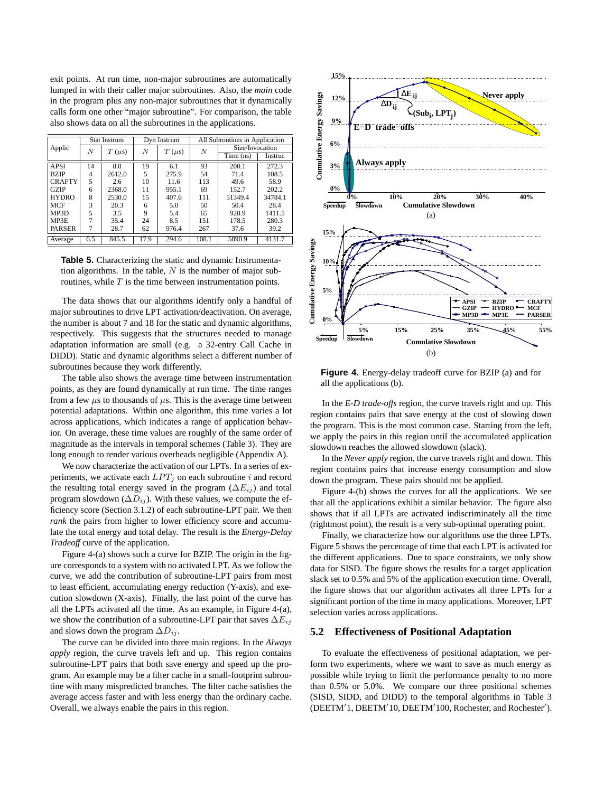exit points. At run time, non-major subroutines are automatically lumped in with their caller major subroutines. Also, the *main* code in the program plus any non-major subroutines that it dynamically calls form one other "major subroutine". For comparison, the table also shows data on all the subroutines in the applications.

|               | Stat Instrum    |        |            | Dyn Instrum |                 | All Subroutines in Application |         |  |
|---------------|-----------------|--------|------------|-------------|-----------------|--------------------------------|---------|--|
| Applic        | N<br>$T(\mu s)$ | N      | $T(\mu s)$ | N           | Size/Invocation |                                |         |  |
|               |                 |        |            |             |                 | Time (ns)                      | Instruc |  |
| <b>APSI</b>   | 14              | 8.8    | 19         | 6.1         | 93              | 200.1                          | 272.3   |  |
| <b>BZIP</b>   | 4               | 2612.0 | 5          | 275.9       | 54              | 71.4                           | 108.5   |  |
| <b>CRAFTY</b> | 5               | 2.6    | 10         | 11.6        | 113             | 49.6                           | 58.9    |  |
| <b>GZIP</b>   | 6               | 2368.0 | 11         | 955.1       | 69              | 152.7                          | 202.2   |  |
| <b>HYDRO</b>  | 8               | 2530.0 | 15         | 407.6       | 111             | 51349.4                        | 34784.1 |  |
| <b>MCF</b>    | 3               | 20.3   | 6          | 5.0         | 50              | 50.4                           | 28.4    |  |
| MP3D          | 5               | 3.5    | 9          | 5.4         | 65              | 928.9                          | 1411.5  |  |
| MP3E          |                 | 35.4   | 24         | 8.5         | 151             | 178.5                          | 280.3   |  |
| <b>PARSER</b> |                 | 28.7   | 62         | 976.4       | 267             | 37.6                           | 39.2    |  |
| Average       | 6.5             | 845.5  | 17.9       | 294.6       | 108.1           | 5890.9                         | 4131.7  |  |

**Table 5.** Characterizing the static and dynamic Instrumentation algorithms. In the table,  $N$  is the number of major subroutines, while  $T$  is the time between instrumentation points.

The data shows that our algorithms identify only a handful of major subroutines to drive LPT activation/deactivation. On average, the number is about 7 and 18 for the static and dynamic algorithms, respectively. This suggests that the structures needed to manage adaptation information are small (e.g. a 32-entry Call Cache in DIDD). Static and dynamic algorithms select a different number of subroutines because they work differently.

The table also shows the average time between instrumentation points, as they are found dynamically at run time. The time ranges from a few  $\mu$ s to thousands of  $\mu$ s. This is the average time between potential adaptations. Within one algorithm, this time varies a lot across applications, which indicates a range of application behavior. On average, these time values are roughly of the same order of magnitude as the intervals in temporal schemes (Table 3). They are long enough to render various overheads negligible (Appendix A).

We now characterize the activation of our LPTs. In a series of experiments, we activate each  $LPT_i$  on each subroutine i and record the resulting total energy saved in the program ( $\Delta E_{ij}$ ) and total program slowdown ( $\Delta D_{ij}$ ). With these values, we compute the efficiency score (Section 3.1.2) of each subroutine-LPT pair. We then *rank* the pairs from higher to lower efficiency score and accumulate the total energy and total delay. The result is the *Energy-Delay Tradeoff* curve of the application.

Figure 4-(a) shows such a curve for BZIP. The origin in the figure corresponds to a system with no activated LPT. As we follow the curve, we add the contribution of subroutine-LPT pairs from most to least efficient, accumulating energy reduction (Y-axis), and execution slowdown (X-axis). Finally, the last point of the curve has all the LPTs activated all the time. As an example, in Figure 4-(a), we show the contribution of a subroutine-LPT pair that saves  $\Delta E_{ij}$ and slows down the program  $\Delta D_{ij}$ .

The curve can be divided into three main regions. In the *Always apply* region, the curve travels left and up. This region contains subroutine-LPT pairs that both save energy and speed up the program. An example may be a filter cache in a small-footprint subroutine with many mispredicted branches. The filter cache satisfies the average access faster and with less energy than the ordinary cache. Overall, we always enable the pairs in this region.



**Figure 4.** Energy-delay tradeoff curve for BZIP (a) and for all the applications (b).

In the *E-D trade-offs* region, the curve travels right and up. This region contains pairs that save energy at the cost of slowing down the program. This is the most common case. Starting from the left, we apply the pairs in this region until the accumulated application slowdown reaches the allowed slowdown (slack).

In the *Never apply* region, the curve travels right and down. This region contains pairs that increase energy consumption and slow down the program. These pairs should not be applied.

Figure 4-(b) shows the curves for all the applications. We see that all the applications exhibit a similar behavior. The figure also shows that if all LPTs are activated indiscriminately all the time (rightmost point), the result is a very sub-optimal operating point.

Finally, we characterize how our algorithms use the three LPTs. Figure 5 shows the percentage of time that each LPT is activated for the different applications. Due to space constraints, we only show data for SISD. The figure shows the results for a target application slack set to 0.5% and 5% of the application execution time. Overall, the figure shows that our algorithm activates all three LPTs for a significant portion of the time in many applications. Moreover, LPT selection varies across applications.

# **5.2 Effectiveness of Positional Adaptation**

To evaluate the effectiveness of positional adaptation, we perform two experiments, where we want to save as much energy as possible while trying to limit the performance penalty to no more than 0.5% or 5.0%. We compare our three positional schemes (SISD, SIDD, and DIDD) to the temporal algorithms in Table 3 (DEETM'1, DEETM'10, DEETM'100, Rochester, and Rochester').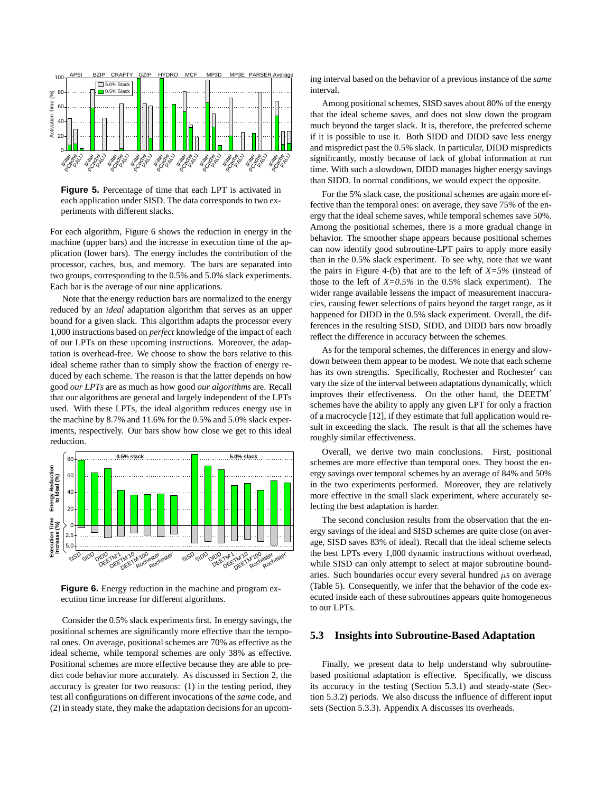

**Figure 5.** Percentage of time that each LPT is activated in each application under SISD. The data corresponds to two experiments with different slacks.

For each algorithm, Figure 6 shows the reduction in energy in the machine (upper bars) and the increase in execution time of the application (lower bars). The energy includes the contribution of the processor, caches, bus, and memory. The bars are separated into two groups, corresponding to the 0.5% and 5.0% slack experiments. Each bar is the average of our nine applications.

Note that the energy reduction bars are normalized to the energy reduced by an *ideal* adaptation algorithm that serves as an upper bound for a given slack. This algorithm adapts the processor every 1,000 instructions based on *perfect* knowledge of the impact of each of our LPTs on these upcoming instructions. Moreover, the adaptation is overhead-free. We choose to show the bars relative to this ideal scheme rather than to simply show the fraction of energy reduced by each scheme. The reason is that the latter depends on how good *our LPTs* are as much as how good *our algorithms* are. Recall that our algorithms are general and largely independent of the LPTs used. With these LPTs, the ideal algorithm reduces energy use in the machine by 8.7% and 11.6% for the 0.5% and 5.0% slack experiments, respectively. Our bars show how close we get to this ideal reduction.



**Figure 6.** Energy reduction in the machine and program execution time increase for different algorithms.

Consider the 0.5% slack experiments first. In energy savings, the positional schemes are significantly more effective than the temporal ones. On average, positional schemes are 70% as effective as the ideal scheme, while temporal schemes are only 38% as effective. Positional schemes are more effective because they are able to predict code behavior more accurately. As discussed in Section 2, the accuracy is greater for two reasons: (1) in the testing period, they test all configurations on different invocations of the *same* code, and (2) in steady state, they make the adaptation decisions for an upcoming interval based on the behavior of a previous instance of the *same* interval.

Among positional schemes, SISD saves about 80% of the energy that the ideal scheme saves, and does not slow down the program much beyond the target slack. It is, therefore, the preferred scheme if it is possible to use it. Both SIDD and DIDD save less energy and mispredict past the 0.5% slack. In particular, DIDD mispredicts significantly, mostly because of lack of global information at run time. With such a slowdown, DIDD manages higher energy savings than SIDD. In normal conditions, we would expect the opposite.

For the 5% slack case, the positional schemes are again more effective than the temporal ones: on average, they save 75% of the energy that the ideal scheme saves, while temporal schemes save 50%. Among the positional schemes, there is a more gradual change in behavior. The smoother shape appears because positional schemes can now identify good subroutine-LPT pairs to apply more easily than in the 0.5% slack experiment. To see why, note that we want the pairs in Figure 4-(b) that are to the left of *X=5%* (instead of those to the left of *X=0.5%* in the 0.5% slack experiment). The wider range available lessens the impact of measurement inaccuracies, causing fewer selections of pairs beyond the target range, as it happened for DIDD in the 0.5% slack experiment. Overall, the differences in the resulting SISD, SIDD, and DIDD bars now broadly reflect the difference in accuracy between the schemes.

As for the temporal schemes, the differences in energy and slowdown between them appear to be modest. We note that each scheme has its own strengths. Specifically, Rochester and Rochester' can vary the size of the interval between adaptations dynamically, which improves their effectiveness. On the other hand, the DEETM' schemes have the ability to apply any given LPT for only a fraction of a macrocycle [12], if they estimate that full application would result in exceeding the slack. The result is that all the schemes have roughly similar effectiveness.

Overall, we derive two main conclusions. First, positional schemes are more effective than temporal ones. They boost the energy savings over temporal schemes by an average of 84% and 50% in the two experiments performed. Moreover, they are relatively more effective in the small slack experiment, where accurately selecting the best adaptation is harder.

The second conclusion results from the observation that the energy savings of the ideal and SISD schemes are quite close (on average, SISD saves 83% of ideal). Recall that the ideal scheme selects the best LPTs every 1,000 dynamic instructions without overhead, while SISD can only attempt to select at major subroutine boundaries. Such boundaries occur every several hundred  $\mu$ s on average (Table 5). Consequently, we infer that the behavior of the code executed inside each of these subroutines appears quite homogeneous to our LPTs.

#### **5.3 Insights into Subroutine-Based Adaptation**

Finally, we present data to help understand why subroutinebased positional adaptation is effective. Specifically, we discuss its accuracy in the testing (Section 5.3.1) and steady-state (Section 5.3.2) periods. We also discuss the influence of different input sets (Section 5.3.3). Appendix A discusses its overheads.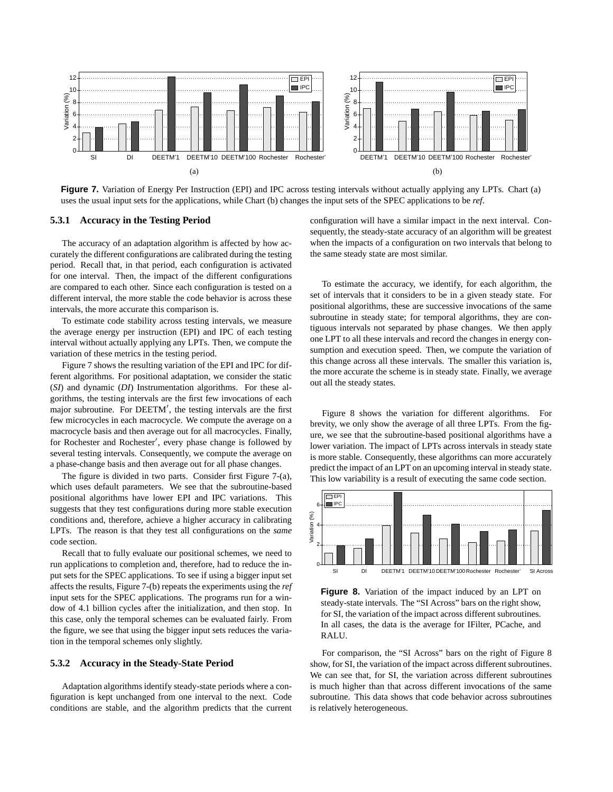

**Figure 7.** Variation of Energy Per Instruction (EPI) and IPC across testing intervals without actually applying any LPTs. Chart (a) uses the usual input sets for the applications, while Chart (b) changes the input sets of the SPEC applications to be *ref*.

### **5.3.1 Accuracy in the Testing Period**

The accuracy of an adaptation algorithm is affected by how accurately the different configurations are calibrated during the testing period. Recall that, in that period, each configuration is activated for one interval. Then, the impact of the different configurations are compared to each other. Since each configuration is tested on a different interval, the more stable the code behavior is across these intervals, the more accurate this comparison is.

To estimate code stability across testing intervals, we measure the average energy per instruction (EPI) and IPC of each testing interval without actually applying any LPTs. Then, we compute the variation of these metrics in the testing period.

Figure 7 shows the resulting variation of the EPI and IPC for different algorithms. For positional adaptation, we consider the static (*SI*) and dynamic (*DI*) Instrumentation algorithms. For these algorithms, the testing intervals are the first few invocations of each major subroutine. For DEETM', the testing intervals are the first few microcycles in each macrocycle. We compute the average on a macrocycle basis and then average out for all macrocycles. Finally, for Rochester and Rochester', every phase change is followed by several testing intervals. Consequently, we compute the average on a phase-change basis and then average out for all phase changes.

The figure is divided in two parts. Consider first Figure 7-(a), which uses default parameters. We see that the subroutine-based positional algorithms have lower EPI and IPC variations. This suggests that they test configurations during more stable execution conditions and, therefore, achieve a higher accuracy in calibrating LPTs. The reason is that they test all configurations on the *same* code section.

Recall that to fully evaluate our positional schemes, we need to run applications to completion and, therefore, had to reduce the input sets for the SPEC applications. To see if using a bigger input set affects the results, Figure 7-(b) repeats the experiments using the *ref* input sets for the SPEC applications. The programs run for a window of 4.1 billion cycles after the initialization, and then stop. In this case, only the temporal schemes can be evaluated fairly. From the figure, we see that using the bigger input sets reduces the variation in the temporal schemes only slightly.

#### **5.3.2 Accuracy in the Steady-State Period**

Adaptation algorithms identify steady-state periods where a configuration is kept unchanged from one interval to the next. Code conditions are stable, and the algorithm predicts that the current configuration will have a similar impact in the next interval. Consequently, the steady-state accuracy of an algorithm will be greatest when the impacts of a configuration on two intervals that belong to the same steady state are most similar.

To estimate the accuracy, we identify, for each algorithm, the set of intervals that it considers to be in a given steady state. For positional algorithms, these are successive invocations of the same subroutine in steady state; for temporal algorithms, they are contiguous intervals not separated by phase changes. We then apply one LPT to all these intervals and record the changes in energy consumption and execution speed. Then, we compute the variation of this change across all these intervals. The smaller this variation is, the more accurate the scheme is in steady state. Finally, we average out all the steady states.

Figure 8 shows the variation for different algorithms. For brevity, we only show the average of all three LPTs. From the figure, we see that the subroutine-based positional algorithms have a lower variation. The impact of LPTs across intervals in steady state is more stable. Consequently, these algorithms can more accurately predict the impact of an LPT on an upcoming interval in steady state. This low variability is a result of executing the same code section.



**Figure 8.** Variation of the impact induced by an LPT on steady-state intervals. The "SI Across" bars on the right show, for SI, the variation of the impact across different subroutines. In all cases, the data is the average for IFilter, PCache, and RALU.

For comparison, the "SI Across" bars on the right of Figure 8 show, for SI, the variation of the impact across different subroutines. We can see that, for SI, the variation across different subroutines is much higher than that across different invocations of the same subroutine. This data shows that code behavior across subroutines is relatively heterogeneous.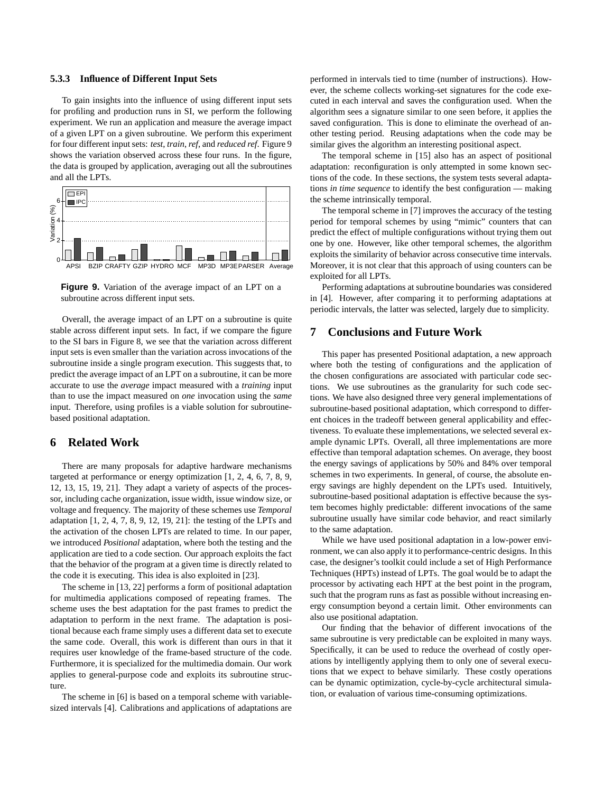#### **5.3.3 Influence of Different Input Sets**

To gain insights into the influence of using different input sets for profiling and production runs in SI, we perform the following experiment. We run an application and measure the average impact of a given LPT on a given subroutine. We perform this experiment for four different input sets: *test*, *train*, *ref*, and *reduced ref*. Figure 9 shows the variation observed across these four runs. In the figure, the data is grouped by application, averaging out all the subroutines and all the LPTs.



**Figure 9.** Variation of the average impact of an LPT on a subroutine across different input sets.

Overall, the average impact of an LPT on a subroutine is quite stable across different input sets. In fact, if we compare the figure to the SI bars in Figure 8, we see that the variation across different input sets is even smaller than the variation across invocations of the subroutine inside a single program execution. This suggests that, to predict the average impact of an LPT on a subroutine, it can be more accurate to use the *average* impact measured with a *training* input than to use the impact measured on *one* invocation using the *same* input. Therefore, using profiles is a viable solution for subroutinebased positional adaptation.

# **6 Related Work**

There are many proposals for adaptive hardware mechanisms targeted at performance or energy optimization [1, 2, 4, 6, 7, 8, 9, 12, 13, 15, 19, 21]. They adapt a variety of aspects of the processor, including cache organization, issue width, issue window size, or voltage and frequency. The majority of these schemes use *Temporal* adaptation [1, 2, 4, 7, 8, 9, 12, 19, 21]: the testing of the LPTs and the activation of the chosen LPTs are related to time. In our paper, we introduced *Positional* adaptation, where both the testing and the application are tied to a code section. Our approach exploits the fact that the behavior of the program at a given time is directly related to the code it is executing. This idea is also exploited in [23].

The scheme in [13, 22] performs a form of positional adaptation for multimedia applications composed of repeating frames. The scheme uses the best adaptation for the past frames to predict the adaptation to perform in the next frame. The adaptation is positional because each frame simply uses a different data set to execute the same code. Overall, this work is different than ours in that it requires user knowledge of the frame-based structure of the code. Furthermore, it is specialized for the multimedia domain. Our work applies to general-purpose code and exploits its subroutine structure.

The scheme in [6] is based on a temporal scheme with variablesized intervals [4]. Calibrations and applications of adaptations are performed in intervals tied to time (number of instructions). However, the scheme collects working-set signatures for the code executed in each interval and saves the configuration used. When the algorithm sees a signature similar to one seen before, it applies the saved configuration. This is done to eliminate the overhead of another testing period. Reusing adaptations when the code may be similar gives the algorithm an interesting positional aspect.

The temporal scheme in [15] also has an aspect of positional adaptation: reconfiguration is only attempted in some known sections of the code. In these sections, the system tests several adaptations *in time sequence* to identify the best configuration — making the scheme intrinsically temporal.

The temporal scheme in [7] improves the accuracy of the testing period for temporal schemes by using "mimic" counters that can predict the effect of multiple configurations without trying them out one by one. However, like other temporal schemes, the algorithm exploits the similarity of behavior across consecutive time intervals. Moreover, it is not clear that this approach of using counters can be exploited for all LPTs.

Performing adaptations at subroutine boundaries was considered in [4]. However, after comparing it to performing adaptations at periodic intervals, the latter was selected, largely due to simplicity.

# **7 Conclusions and Future Work**

This paper has presented Positional adaptation, a new approach where both the testing of configurations and the application of the chosen configurations are associated with particular code sections. We use subroutines as the granularity for such code sections. We have also designed three very general implementations of subroutine-based positional adaptation, which correspond to different choices in the tradeoff between general applicability and effectiveness. To evaluate these implementations, we selected several example dynamic LPTs. Overall, all three implementations are more effective than temporal adaptation schemes. On average, they boost the energy savings of applications by 50% and 84% over temporal schemes in two experiments. In general, of course, the absolute energy savings are highly dependent on the LPTs used. Intuitively, subroutine-based positional adaptation is effective because the system becomes highly predictable: different invocations of the same subroutine usually have similar code behavior, and react similarly to the same adaptation.

While we have used positional adaptation in a low-power environment, we can also apply it to performance-centric designs. In this case, the designer's toolkit could include a set of High Performance Techniques (HPTs) instead of LPTs. The goal would be to adapt the processor by activating each HPT at the best point in the program, such that the program runs as fast as possible without increasing energy consumption beyond a certain limit. Other environments can also use positional adaptation.

Our finding that the behavior of different invocations of the same subroutine is very predictable can be exploited in many ways. Specifically, it can be used to reduce the overhead of costly operations by intelligently applying them to only one of several executions that we expect to behave similarly. These costly operations can be dynamic optimization, cycle-by-cycle architectural simulation, or evaluation of various time-consuming optimizations.